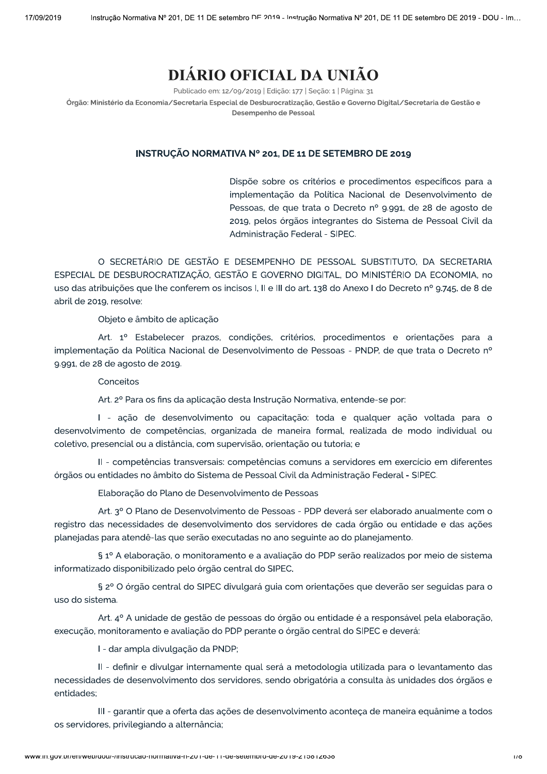# DIÁRIO OFICIAL DA UNIÃO

Publicado em: 12/09/2019 | Edição: 177 | Seção: 1 | Página: 31

Órgão: Ministério da Economia/Secretaria Especial de Desburocratização, Gestão e Governo Digital/Secretaria de Gestão e Desempenho de Pessoal

## INSTRUÇÃO NORMATIVA Nº 201, DE 11 DE SETEMBRO DE 2019

Dispõe sobre os critérios e procedimentos específicos para a implementação da Política Nacional de Desenvolvimento de Pessoas, de que trata o Decreto nº 9.991, de 28 de agosto de 2019, pelos órgãos integrantes do Sistema de Pessoal Civil da Administração Federal - SIPEC.

O SECRETÁRIO DE GESTÃO E DESEMPENHO DE PESSOAL SUBSTITUTO. DA SECRETARIA ESPECIAL DE DESBUROCRATIZAÇÃO, GESTÃO E GOVERNO DIGITAL, DO MINISTÉRIO DA ECONOMIA, no uso das atribuições que lhe conferem os incisos I, II e III do art. 138 do Anexo I do Decreto nº 9.745, de 8 de abril de 2019, resolve:

Objeto e âmbito de aplicação

Art. 1º Estabelecer prazos, condições, critérios, procedimentos e orientações para a implementação da Política Nacional de Desenvolvimento de Pessoas - PNDP, de que trata o Decreto nº 9.991, de 28 de agosto de 2019.

Conceitos

Art. 2º Para os fins da aplicação desta Instrução Normativa, entende-se por:

I - ação de desenvolvimento ou capacitação: toda e qualquer ação voltada para o desenvolvimento de competências, organizada de maneira formal, realizada de modo individual ou coletivo, presencial ou a distância, com supervisão, orientação ou tutoria; e

II - competências transversais: competências comuns a servidores em exercício em diferentes órgãos ou entidades no âmbito do Sistema de Pessoal Civil da Administração Federal - SIPEC.

Elaboração do Plano de Desenvolvimento de Pessoas

Art. 3º O Plano de Desenvolvimento de Pessoas - PDP deverá ser elaborado anualmente com o registro das necessidades de desenvolvimento dos servidores de cada órgão ou entidade e das ações planejadas para atendê-las que serão executadas no ano seguinte ao do planejamento.

§ 1º A elaboração, o monitoramento e a avaliação do PDP serão realizados por meio de sistema informatizado disponibilizado pelo órgão central do SIPEC.

§ 2º O órgão central do SIPEC divulgará guia com orientações que deverão ser seguidas para o uso do sistema.

Art. 4º A unidade de gestão de pessoas do órgão ou entidade é a responsável pela elaboração, execução, monitoramento e avaliação do PDP perante o órgão central do SIPEC e deverá:

I - dar ampla divulgação da PNDP;

II - definir e divulgar internamente qual será a metodologia utilizada para o levantamento das necessidades de desenvolvimento dos servidores, sendo obrigatória a consulta às unidades dos órgãos e entidades:

III - garantir que a oferta das ações de desenvolvimento aconteça de maneira equânime a todos os servidores, privilegiando a alternância;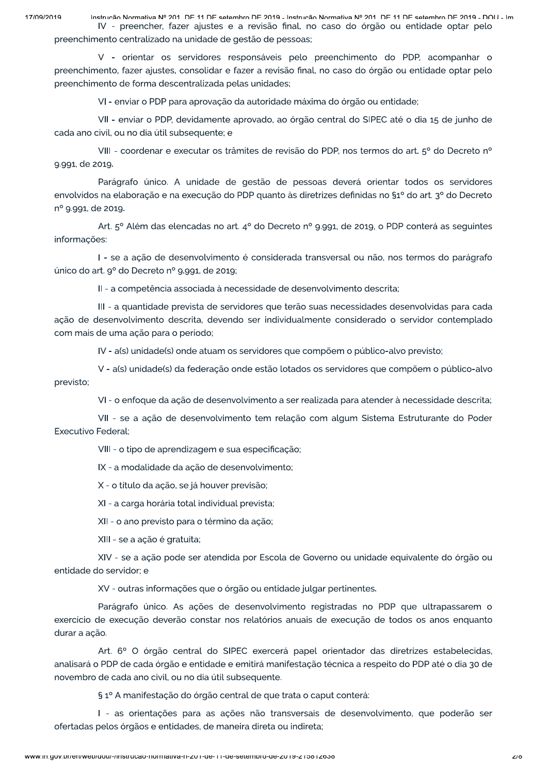Instrução Normativa Nº 201 DE 11 DE setembro DE 2019 - Instrução Normativa Nº 201 DE 11 DE setembro DE 2019 - DOLL- Im IV - preencher, fazer ajustes e a revisão final, no caso do órgão ou entidade optar pelo

preenchimento centralizado na unidade de gestão de pessoas;

V - orientar os servidores responsáveis pelo preenchimento do PDP, acompanhar o preenchimento, fazer ajustes, consolidar e fazer a revisão final, no caso do órgão ou entidade optar pelo preenchimento de forma descentralizada pelas unidades;

VI - enviar o PDP para aprovação da autoridade máxima do órgão ou entidade;

VII - enviar o PDP, devidamente aprovado, ao órgão central do SIPEC até o dia 15 de junho de cada ano civil, ou no dia útil subsequente; e

VIII - coordenar e executar os trâmites de revisão do PDP, nos termos do art. 5º do Decreto nº 9.991, de 2019.

Parágrafo único. A unidade de gestão de pessoas deverá orientar todos os servidores envolvidos na elaboração e na execução do PDP quanto às diretrizes definidas no §1º do art. 3º do Decreto nº 9.991, de 2019.

Art. 5º Além das elencadas no art. 4º do Decreto nº 9.991, de 2019, o PDP conterá as seguintes informacões:

I - se a ação de desenvolvimento é considerada transversal ou não, nos termos do parágrafo único do art. 9º do Decreto nº 9.991, de 2019;

II - a competência associada à necessidade de desenvolvimento descrita;

III - a quantidade prevista de servidores que terão suas necessidades desenvolvidas para cada ação de desenvolvimento descrita, devendo ser individualmente considerado o servidor contemplado com mais de uma ação para o período;

IV - a(s) unidade(s) onde atuam os servidores que compõem o público-alvo previsto;

V - a(s) unidade(s) da federação onde estão lotados os servidores que compõem o público-alvo previsto;

VI - o enfoque da ação de desenvolvimento a ser realizada para atender à necessidade descrita;

VII - se a ação de desenvolvimento tem relação com algum Sistema Estruturante do Poder Executivo Federal:

VIII - o tipo de aprendizagem e sua especificação;

IX - a modalidade da ação de desenvolvimento;

X - o título da ação, se já houver previsão;

XI - a carga horária total individual prevista;

XII - o ano previsto para o término da ação;

XIII - se a ação é gratuita;

XIV - se a ação pode ser atendida por Escola de Governo ou unidade equivalente do órgão ou entidade do servidor: e

XV - outras informações que o órgão ou entidade julgar pertinentes.

Parágrafo único. As ações de desenvolvimento registradas no PDP que ultrapassarem o exercício de execução deverão constar nos relatórios anuais de execução de todos os anos enquanto durar a acão.

Art. 6º O órgão central do SIPEC exercerá papel orientador das diretrizes estabelecidas, analisará o PDP de cada órgão e entidade e emitirá manifestação técnica a respeito do PDP até o dia 30 de novembro de cada ano civil, ou no dia útil subsequente.

§ 1º A manifestação do órgão central de que trata o caput conterá:

I - as orientações para as ações não transversais de desenvolvimento, que poderão ser ofertadas pelos órgãos e entidades, de maneira direta ou indireta;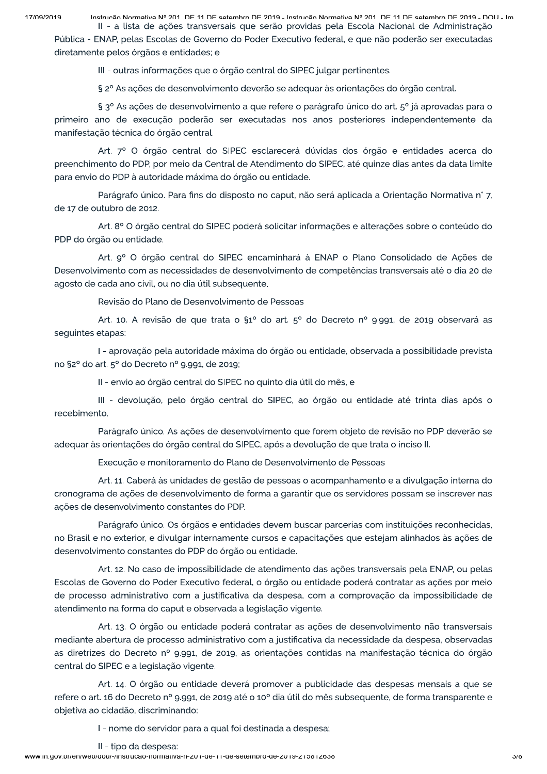Instrução Normativa Nº 201 DE 11 DE setembro DE 2019 - Instrução Normativa Nº 201 DE 11 DE setembro DE 2019 - DOLL- Im II - a lista de ações transversais que serão providas pela Escola Nacional de Administração

Pública - ENAP, pelas Escolas de Governo do Poder Executivo federal, e que não poderão ser executadas diretamente pelos órgãos e entidades; e

III - outras informações que o órgão central do SIPEC julgar pertinentes.

§ 2º As ações de desenvolvimento deverão se adequar às orientações do órgão central.

§ 3° As ações de desenvolvimento a que refere o parágrafo único do art. 5° já aprovadas para o primeiro ano de execução poderão ser executadas nos anos posteriores independentemente da manifestação técnica do órgão central.

Art. 7º O órgão central do SIPEC esclarecerá dúvidas dos órgão e entidades acerca do preenchimento do PDP, por meio da Central de Atendimento do SIPEC, até quinze dias antes da data limite para envio do PDP à autoridade máxima do órgão ou entidade.

Parágrafo único. Para fins do disposto no caput, não será aplicada a Orientação Normativa n° 7, de 17 de outubro de 2012.

Art. 8º O órgão central do SIPEC poderá solicitar informações e alterações sobre o conteúdo do PDP do órgão ou entidade.

Art. 9º O órgão central do SIPEC encaminhará à ENAP o Plano Consolidado de Ações de Desenvolvimento com as necessidades de desenvolvimento de competências transversais até o dia 20 de agosto de cada ano civil, ou no dia útil subsequente.

Revisão do Plano de Desenvolvimento de Pessoas

Art. 10. A revisão de que trata o §1º do art. 5º do Decreto nº 9.991, de 2019 observará as sequintes etapas:

I - aprovação pela autoridade máxima do órgão ou entidade, observada a possibilidade prevista no §2º do art. 5º do Decreto nº 9.991, de 2019;

II - envio ao órgão central do SIPEC no quinto dia útil do mês, e

III - devolução, pelo órgão central do SIPEC, ao órgão ou entidade até trinta dias após o recebimento.

Parágrafo único. As ações de desenvolvimento que forem objeto de revisão no PDP deverão se adequar às orientações do órgão central do SIPEC, após a devolução de que trata o inciso II.

Execução e monitoramento do Plano de Desenvolvimento de Pessoas

Art. 11. Caberá às unidades de gestão de pessoas o acompanhamento e a divulgação interna do cronograma de ações de desenvolvimento de forma a garantir que os servidores possam se inscrever nas ações de desenvolvimento constantes do PDP.

Parágrafo único. Os órgãos e entidades devem buscar parcerias com instituições reconhecidas, no Brasil e no exterior, e divulgar internamente cursos e capacitações que estejam alinhados às ações de desenvolvimento constantes do PDP do órgão ou entidade.

Art. 12. No caso de impossibilidade de atendimento das ações transversais pela ENAP, ou pelas Escolas de Governo do Poder Executivo federal, o órgão ou entidade poderá contratar as ações por meio de processo administrativo com a justificativa da despesa, com a comprovação da impossibilidade de atendimento na forma do caput e observada a legislação vigente.

Art. 13. O órgão ou entidade poderá contratar as ações de desenvolvimento não transversais mediante abertura de processo administrativo com a justificativa da necessidade da despesa, observadas as diretrizes do Decreto nº 9.991, de 2019, as orientações contidas na manifestação técnica do órgão central do SIPEC e a legislação vigente.

Art. 14. O órgão ou entidade deverá promover a publicidade das despesas mensais a que se refere o art. 16 do Decreto nº 9.991, de 2019 até o 10º dia útil do mês subsequente, de forma transparente e objetiva ao cidadão, discriminando:

I - nome do servidor para a qual foi destinada a despesa;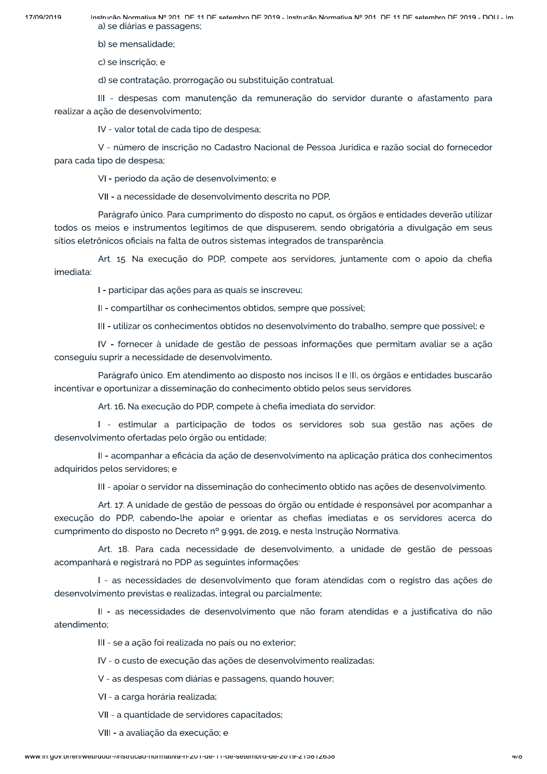Instrução Normativa Nº 201 DE 11 DE setembro DE 2019 - Instrução Normativa Nº 201 DE 11 DE setembro DE 2019 - DOLL- Im a) se diárias e passagens;

b) se mensalidade:

c) se inscrição; e

d) se contratação, prorrogação ou substituição contratual.

III - despesas com manutenção da remuneração do servidor durante o afastamento para realizar a ação de desenvolvimento;

IV - valor total de cada tipo de despesa;

V - número de inscrição no Cadastro Nacional de Pessoa Jurídica e razão social do fornecedor para cada tipo de despesa;

VI - período da ação de desenvolvimento; e

VII - a necessidade de desenvolvimento descrita no PDP.

Parágrafo único. Para cumprimento do disposto no caput, os órgãos e entidades deverão utilizar todos os meios e instrumentos legítimos de que dispuserem, sendo obrigatória a divulgação em seus sítios eletrônicos oficiais na falta de outros sistemas integrados de transparência.

Art. 15. Na execução do PDP, compete aos servidores, juntamente com o apoio da chefia imediata:

I - participar das ações para as quais se inscreveu;

II - compartilhar os conhecimentos obtidos, sempre que possível:

III - utilizar os conhecimentos obtidos no desenvolvimento do trabalho, sempre que possível; e

IV - fornecer à unidade de gestão de pessoas informações que permitam avaliar se a ação conseguiu suprir a necessidade de desenvolvimento.

Parágrafo único. Em atendimento ao disposto nos incisos II e III, os órgãos e entidades buscarão incentivar e oportunizar a disseminação do conhecimento obtido pelos seus servidores.

Art. 16. Na execução do PDP, compete à chefia imediata do servidor:

I - estimular a participação de todos os servidores sob sua gestão nas ações de desenvolvimento ofertadas pelo órgão ou entidade;

II - acompanhar a eficácia da ação de desenvolvimento na aplicação prática dos conhecimentos adquiridos pelos servidores; e

III - apoiar o servidor na disseminação do conhecimento obtido nas ações de desenvolvimento.

Art. 17. A unidade de gestão de pessoas do órgão ou entidade é responsável por acompanhar a execução do PDP, cabendo-lhe apoiar e orientar as chefias imediatas e os servidores acerca do cumprimento do disposto no Decreto nº 9.991, de 2019, e nesta Instrução Normativa.

Art. 18. Para cada necessidade de desenvolvimento, a unidade de gestão de pessoas acompanhará e registrará no PDP as seguintes informações:

I - as necessidades de desenvolvimento que foram atendidas com o registro das ações de desenvolvimento previstas e realizadas, integral ou parcialmente;

II - as necessidades de desenvolvimento que não foram atendidas e a justificativa do não atendimento:

III - se a ação foi realizada no país ou no exterior;

IV - o custo de execução das ações de desenvolvimento realizadas;

V - as despesas com diárias e passagens, quando houver;

VI - a carga horária realizada;

VII - a quantidade de servidores capacitados;

VIII - a avaliação da execução; e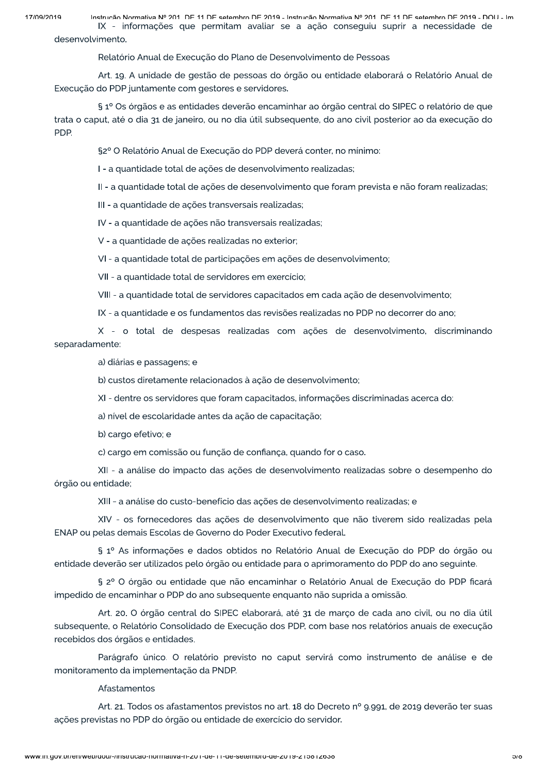Instrução Normativa Nº 201 DE 11 DE setembro DE 2019 - Instrução Normativa Nº 201 DE 11 DE setembro DE 2019 - DOLL- Im IX - informações que permitam avaliar se a ação conseguiu suprir a necessidade de desenvolvimento.

Relatório Anual de Execução do Plano de Desenvolvimento de Pessoas

Art. 19. A unidade de gestão de pessoas do órgão ou entidade elaborará o Relatório Anual de Execução do PDP juntamente com gestores e servidores.

§ 1º Os órgãos e as entidades deverão encaminhar ao órgão central do SIPEC o relatório de que trata o caput, até o dia 31 de janeiro, ou no dia útil subsequente, do ano civil posterior ao da execução do PDP.

§2º O Relatório Anual de Execução do PDP deverá conter, no mínimo:

I - a quantidade total de ações de desenvolvimento realizadas;

Il - a quantidade total de ações de desenvolvimento que foram prevista e não foram realizadas;

III - a quantidade de ações transversais realizadas;

IV - a quantidade de ações não transversais realizadas;

V - a quantidade de ações realizadas no exterior;

VI - a quantidade total de participações em ações de desenvolvimento;

VII - a quantidade total de servidores em exercício;

VIII - a quantidade total de servidores capacitados em cada ação de desenvolvimento;

IX - a quantidade e os fundamentos das revisões realizadas no PDP no decorrer do ano;

X - o total de despesas realizadas com ações de desenvolvimento, discriminando separadamente:

a) diárias e passagens; e

b) custos diretamente relacionados à ação de desenvolvimento;

XI - dentre os servidores que foram capacitados, informações discriminadas acerca do:

a) nível de escolaridade antes da ação de capacitação;

b) cargo efetivo; e

c) cargo em comissão ou função de confiança, quando for o caso.

XII - a análise do impacto das ações de desenvolvimento realizadas sobre o desempenho do órgão ou entidade;

XIII - a análise do custo-benefício das ações de desenvolvimento realizadas; e

XIV - os fornecedores das ações de desenvolvimento que não tiverem sido realizadas pela ENAP ou pelas demais Escolas de Governo do Poder Executivo federal.

§ 1º As informações e dados obtidos no Relatório Anual de Execução do PDP do órgão ou entidade deverão ser utilizados pelo órgão ou entidade para o aprimoramento do PDP do ano seguinte.

§ 2º O órgão ou entidade que não encaminhar o Relatório Anual de Execução do PDP ficará impedido de encaminhar o PDP do ano subsequente enquanto não suprida a omissão.

Art. 20. O órgão central do SIPEC elaborará, até 31 de março de cada ano civil, ou no dia útil subsequente, o Relatório Consolidado de Execução dos PDP, com base nos relatórios anuais de execução recebidos dos órgãos e entidades.

Parágrafo único. O relatório previsto no caput servirá como instrumento de análise e de monitoramento da implementação da PNDP.

### Afastamentos

Art. 21. Todos os afastamentos previstos no art. 18 do Decreto nº 9.991, de 2019 deverão ter suas ações previstas no PDP do órgão ou entidade de exercício do servidor.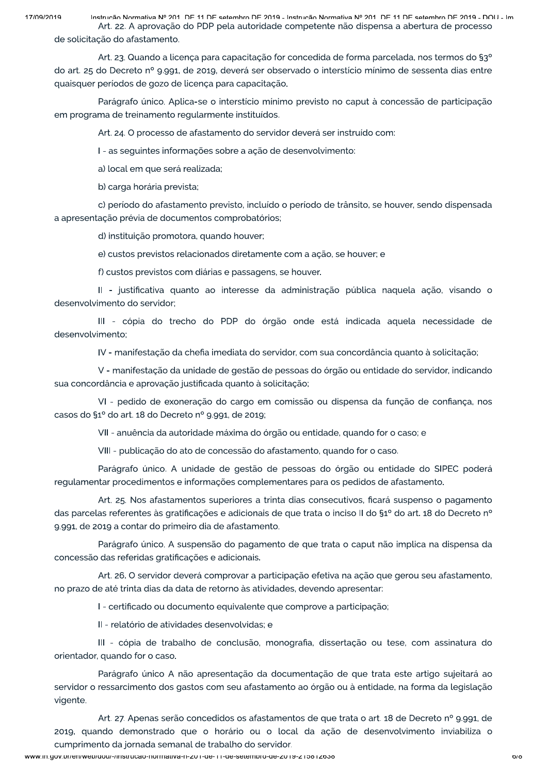Instrução Normativa Nº 201 DE 11 DE setembro DE 2019 - Instrução Normativa Nº 201 DE 11 DE setembro DE 2019 - DOLL- Im Art. 22. A aprovação do PDP pela autoridade competente não dispensa a abertura de processo de solicitação do afastamento.

Art. 23. Quando a licença para capacitação for concedida de forma parcelada, nos termos do §3° do art. 25 do Decreto nº 9.991, de 2019, deverá ser observado o interstício mínimo de sessenta dias entre quaisquer períodos de gozo de licença para capacitação.

Parágrafo único. Aplica-se o interstício mínimo previsto no caput à concessão de participação em programa de treinamento regularmente instituídos.

Art. 24. O processo de afastamento do servidor deverá ser instruído com:

I - as seguintes informações sobre a ação de desenvolvimento:

a) local em que será realizada;

b) carga horária prevista;

c) período do afastamento previsto, incluído o período de trânsito, se houver, sendo dispensada a apresentação prévia de documentos comprobatórios;

d) instituição promotora, quando houver;

e) custos previstos relacionados diretamente com a ação, se houver; e

f) custos previstos com diárias e passagens, se houver.

II - justificativa quanto ao interesse da administração pública naquela ação, visando o desenvolvimento do servidor;

III - cópia do trecho do PDP do órgão onde está indicada aquela necessidade de desenvolvimento:

IV - manifestação da chefia imediata do servidor, com sua concordância quanto à solicitação;

V - manifestação da unidade de gestão de pessoas do órgão ou entidade do servidor, indicando sua concordância e aprovação justificada quanto à solicitação;

VI - pedido de exoneração do cargo em comissão ou dispensa da função de confiança, nos casos do §1º do art. 18 do Decreto nº 9.991, de 2019;

VII - anuência da autoridade máxima do órgão ou entidade, quando for o caso; e

VIII - publicação do ato de concessão do afastamento, quando for o caso.

Parágrafo único. A unidade de gestão de pessoas do órgão ou entidade do SIPEC poderá regulamentar procedimentos e informações complementares para os pedidos de afastamento.

Art. 25. Nos afastamentos superiores a trinta dias consecutivos, ficará suspenso o pagamento das parcelas referentes às gratificações e adicionais de que trata o inciso II do §1º do art. 18 do Decreto nº 9.991, de 2019 a contar do primeiro dia de afastamento.

Parágrafo único. A suspensão do pagamento de que trata o caput não implica na dispensa da concessão das referidas gratificações e adicionais.

Art. 26. O servidor deverá comprovar a participação efetiva na ação que gerou seu afastamento, no prazo de até trinta dias da data de retorno às atividades, devendo apresentar:

I - certificado ou documento equivalente que comprove a participação;

II - relatório de atividades desenvolvidas: e

III - cópia de trabalho de conclusão, monografia, dissertação ou tese, com assinatura do orientador, quando for o caso.

Parágrafo único A não apresentação da documentação de que trata este artigo sujeitará ao servidor o ressarcimento dos gastos com seu afastamento ao órgão ou à entidade, na forma da legislação vigente.

Art. 27. Apenas serão concedidos os afastamentos de que trata o art. 18 de Decreto nº 9.991, de 2019, quando demonstrado que o horário ou o local da ação de desenvolvimento inviabiliza o cumprimento da jornada semanal de trabalho do servidor.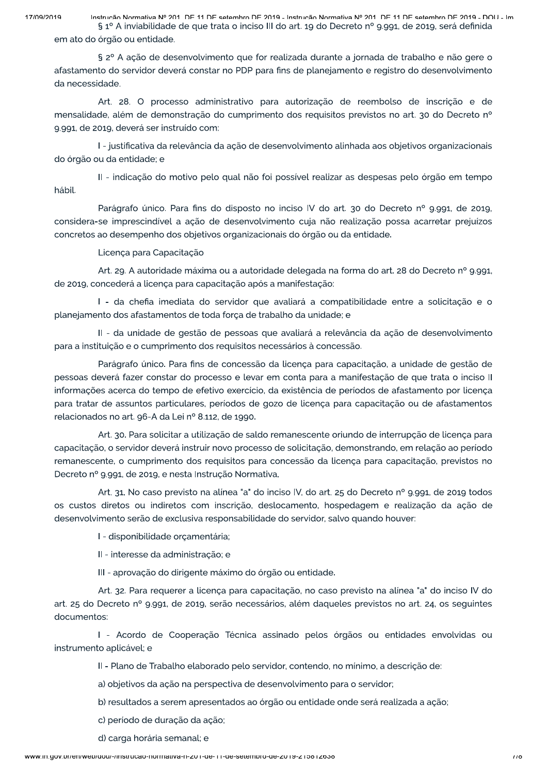17/00/2010

Instrução Normativa Nº 201 DE 11 DE setembro DE 2019 - Instrução Normativa Nº 201 DE 11 DE setembro DE 2019 - DOLL- Im § 1º A inviabilidade de que trata o inciso III do art. 19 do Decreto nº 9.991, de 2019, será definida em ato do órgão ou entidade.

§ 2º A ação de desenvolvimento que for realizada durante a jornada de trabalho e não gere o afastamento do servidor deverá constar no PDP para fins de planejamento e registro do desenvolvimento da necessidade.

Art. 28. O processo administrativo para autorização de reembolso de inscrição e de mensalidade, além de demonstração do cumprimento dos requisitos previstos no art. 30 do Decreto nº 9.991, de 2019, deverá ser instruído com:

I - justificativa da relevância da ação de desenvolvimento alinhada aos objetivos organizacionais do órgão ou da entidade; e

II - indicação do motivo pelo qual não foi possível realizar as despesas pelo órgão em tempo hábil.

Parágrafo único. Para fins do disposto no inciso IV do art. 30 do Decreto nº 9.991, de 2019, considera-se imprescindível a ação de desenvolvimento cuja não realização possa acarretar prejuízos concretos ao desempenho dos objetivos organizacionais do órgão ou da entidade.

## Licença para Capacitação

Art. 29. A autoridade máxima ou a autoridade delegada na forma do art. 28 do Decreto nº 9.991. de 2019, concederá a licença para capacitação após a manifestação:

I - da chefia imediata do servidor que avaliará a compatibilidade entre a solicitacão e o planejamento dos afastamentos de toda força de trabalho da unidade; e

II - da unidade de gestão de pessoas que avaliará a relevância da ação de desenvolvimento para a instituição e o cumprimento dos requisitos necessários à concessão.

Parágrafo único. Para fins de concessão da licença para capacitação, a unidade de gestão de pessoas deverá fazer constar do processo e levar em conta para a manifestação de que trata o inciso II informações acerca do tempo de efetivo exercício, da existência de períodos de afastamento por licença para tratar de assuntos particulares, períodos de gozo de licença para capacitação ou de afastamentos relacionados no art. 96-A da Lei nº 8.112, de 1990.

Art. 30. Para solicitar a utilização de saldo remanescente oriundo de interrupção de licença para capacitação, o servidor deverá instruir novo processo de solicitação, demonstrando, em relação ao período remanescente, o cumprimento dos requisitos para concessão da licença para capacitação, previstos no Decreto nº 9.991, de 2019, e nesta Instrução Normativa.

Art. 31. No caso previsto na alínea "a" do inciso IV, do art. 25 do Decreto nº 9.991, de 2019 todos os custos diretos ou indiretos com inscrição, deslocamento, hospedagem e realização da ação de desenvolvimento serão de exclusiva responsabilidade do servidor, salvo quando houver:

I - disponibilidade orçamentária;

II - interesse da administração; e

III - aprovação do dirigente máximo do órgão ou entidade.

Art. 32. Para requerer a licenca para capacitação, no caso previsto na alínea "a" do inciso IV do art. 25 do Decreto nº 9.991, de 2019, serão necessários, além daqueles previstos no art. 24, os seguintes documentos:

I - Acordo de Cooperação Técnica assinado pelos órgãos ou entidades envolvidas ou instrumento aplicável; e

II - Plano de Trabalho elaborado pelo servidor, contendo, no mínimo, a descrição de:

a) objetivos da ação na perspectiva de desenvolvimento para o servidor;

b) resultados a serem apresentados ao órgão ou entidade onde será realizada a ação;

c) período de duração da ação;

d) carga horária semanal; e